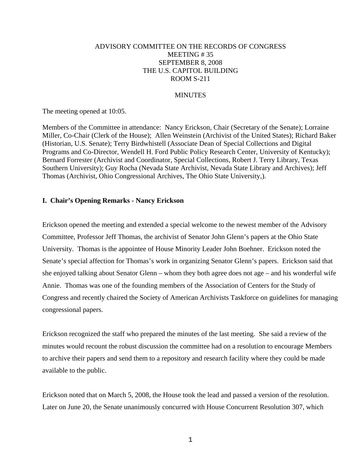# ADVISORY COMMITTEE ON THE RECORDS OF CONGRESS MEETING # 35 SEPTEMBER 8, 2008 THE U.S. CAPITOL BUILDING ROOM S-211

### **MINUTES**

The meeting opened at 10:05.

Members of the Committee in attendance: Nancy Erickson, Chair (Secretary of the Senate); Lorraine Miller, Co-Chair (Clerk of the House); Allen Weinstein (Archivist of the United States); Richard Baker (Historian, U.S. Senate); Terry Birdwhistell (Associate Dean of Special Collections and Digital Programs and Co-Director, Wendell H. Ford Public Policy Research Center, University of Kentucky); Bernard Forrester (Archivist and Coordinator, Special Collections, Robert J. Terry Library, Texas Southern University); Guy Rocha (Nevada State Archivist, Nevada State Library and Archives); Jeff Thomas (Archivist, Ohio Congressional Archives, The Ohio State University,).

### **I. Chair's Opening Remarks - Nancy Erickson**

Erickson opened the meeting and extended a special welcome to the newest member of the Advisory Committee, Professor Jeff Thomas, the archivist of Senator John Glenn's papers at the Ohio State University. Thomas is the appointee of House Minority Leader John Boehner. Erickson noted the Senate's special affection for Thomas's work in organizing Senator Glenn's papers. Erickson said that she enjoyed talking about Senator Glenn – whom they both agree does not age – and his wonderful wife Annie. Thomas was one of the founding members of the Association of Centers for the Study of Congress and recently chaired the Society of American Archivists Taskforce on guidelines for managing congressional papers.

Erickson recognized the staff who prepared the minutes of the last meeting. She said a review of the minutes would recount the robust discussion the committee had on a resolution to encourage Members to archive their papers and send them to a repository and research facility where they could be made available to the public.

Erickson noted that on March 5, 2008, the House took the lead and passed a version of the resolution. Later on June 20, the Senate unanimously concurred with House Concurrent Resolution 307, which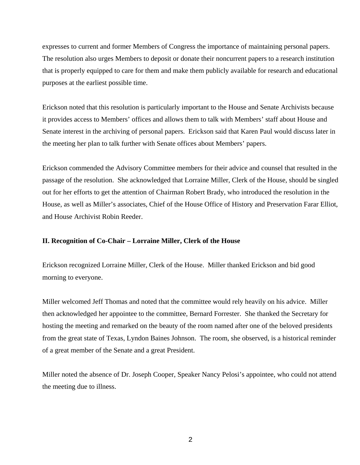expresses to current and former Members of Congress the importance of maintaining personal papers. The resolution also urges Members to deposit or donate their noncurrent papers to a research institution that is properly equipped to care for them and make them publicly available for research and educational purposes at the earliest possible time.

Erickson noted that this resolution is particularly important to the House and Senate Archivists because it provides access to Members' offices and allows them to talk with Members' staff about House and Senate interest in the archiving of personal papers. Erickson said that Karen Paul would discuss later in the meeting her plan to talk further with Senate offices about Members' papers.

Erickson commended the Advisory Committee members for their advice and counsel that resulted in the passage of the resolution. She acknowledged that Lorraine Miller, Clerk of the House, should be singled out for her efforts to get the attention of Chairman Robert Brady, who introduced the resolution in the House, as well as Miller's associates, Chief of the House Office of History and Preservation Farar Elliot, and House Archivist Robin Reeder.

# **II. Recognition of Co-Chair – Lorraine Miller, Clerk of the House**

Erickson recognized Lorraine Miller, Clerk of the House. Miller thanked Erickson and bid good morning to everyone.

Miller welcomed Jeff Thomas and noted that the committee would rely heavily on his advice. Miller then acknowledged her appointee to the committee, Bernard Forrester. She thanked the Secretary for hosting the meeting and remarked on the beauty of the room named after one of the beloved presidents from the great state of Texas, Lyndon Baines Johnson. The room, she observed, is a historical reminder of a great member of the Senate and a great President.

Miller noted the absence of Dr. Joseph Cooper, Speaker Nancy Pelosi's appointee, who could not attend the meeting due to illness.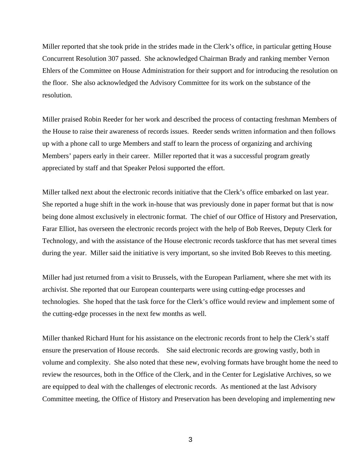Miller reported that she took pride in the strides made in the Clerk's office, in particular getting House Concurrent Resolution 307 passed. She acknowledged Chairman Brady and ranking member Vernon Ehlers of the Committee on House Administration for their support and for introducing the resolution on the floor. She also acknowledged the Advisory Committee for its work on the substance of the resolution.

Miller praised Robin Reeder for her work and described the process of contacting freshman Members of the House to raise their awareness of records issues. Reeder sends written information and then follows up with a phone call to urge Members and staff to learn the process of organizing and archiving Members' papers early in their career. Miller reported that it was a successful program greatly appreciated by staff and that Speaker Pelosi supported the effort.

Miller talked next about the electronic records initiative that the Clerk's office embarked on last year. She reported a huge shift in the work in-house that was previously done in paper format but that is now being done almost exclusively in electronic format. The chief of our Office of History and Preservation, Farar Elliot, has overseen the electronic records project with the help of Bob Reeves, Deputy Clerk for Technology, and with the assistance of the House electronic records taskforce that has met several times during the year. Miller said the initiative is very important, so she invited Bob Reeves to this meeting.

Miller had just returned from a visit to Brussels, with the European Parliament, where she met with its archivist. She reported that our European counterparts were using cutting-edge processes and technologies. She hoped that the task force for the Clerk's office would review and implement some of the cutting-edge processes in the next few months as well.

Miller thanked Richard Hunt for his assistance on the electronic records front to help the Clerk's staff ensure the preservation of House records. She said electronic records are growing vastly, both in volume and complexity. She also noted that these new, evolving formats have brought home the need to review the resources, both in the Office of the Clerk, and in the Center for Legislative Archives, so we are equipped to deal with the challenges of electronic records. As mentioned at the last Advisory Committee meeting, the Office of History and Preservation has been developing and implementing new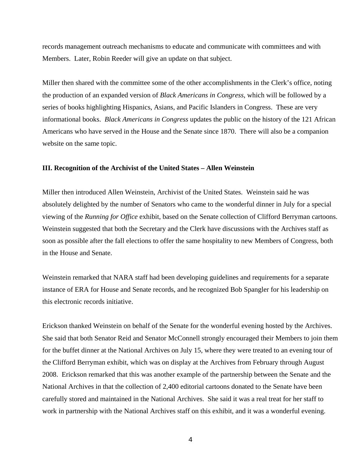records management outreach mechanisms to educate and communicate with committees and with Members. Later, Robin Reeder will give an update on that subject.

Miller then shared with the committee some of the other accomplishments in the Clerk's office, noting the production of an expanded version of *Black Americans in Congress*, which will be followed by a series of books highlighting Hispanics, Asians, and Pacific Islanders in Congress. These are very informational books. *Black Americans in Congress* updates the public on the history of the 121 African Americans who have served in the House and the Senate since 1870. There will also be a companion website on the same topic.

### **III. Recognition of the Archivist of the United States – Allen Weinstein**

Miller then introduced Allen Weinstein, Archivist of the United States. Weinstein said he was absolutely delighted by the number of Senators who came to the wonderful dinner in July for a special viewing of the *Running for Office* exhibit, based on the Senate collection of Clifford Berryman cartoons. Weinstein suggested that both the Secretary and the Clerk have discussions with the Archives staff as soon as possible after the fall elections to offer the same hospitality to new Members of Congress, both in the House and Senate.

Weinstein remarked that NARA staff had been developing guidelines and requirements for a separate instance of ERA for House and Senate records, and he recognized Bob Spangler for his leadership on this electronic records initiative.

Erickson thanked Weinstein on behalf of the Senate for the wonderful evening hosted by the Archives. She said that both Senator Reid and Senator McConnell strongly encouraged their Members to join them for the buffet dinner at the National Archives on July 15, where they were treated to an evening tour of the Clifford Berryman exhibit, which was on display at the Archives from February through August 2008. Erickson remarked that this was another example of the partnership between the Senate and the National Archives in that the collection of 2,400 editorial cartoons donated to the Senate have been carefully stored and maintained in the National Archives. She said it was a real treat for her staff to work in partnership with the National Archives staff on this exhibit, and it was a wonderful evening.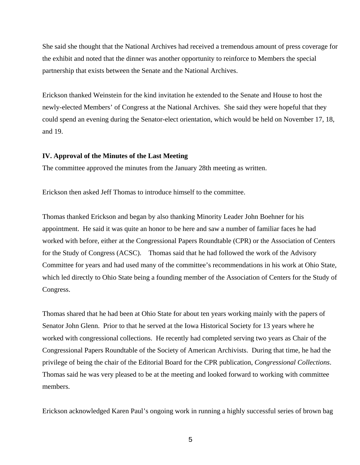She said she thought that the National Archives had received a tremendous amount of press coverage for the exhibit and noted that the dinner was another opportunity to reinforce to Members the special partnership that exists between the Senate and the National Archives.

Erickson thanked Weinstein for the kind invitation he extended to the Senate and House to host the newly-elected Members' of Congress at the National Archives. She said they were hopeful that they could spend an evening during the Senator-elect orientation, which would be held on November 17, 18, and 19.

### **IV. Approval of the Minutes of the Last Meeting**

The committee approved the minutes from the January 28th meeting as written.

Erickson then asked Jeff Thomas to introduce himself to the committee.

Thomas thanked Erickson and began by also thanking Minority Leader John Boehner for his appointment. He said it was quite an honor to be here and saw a number of familiar faces he had worked with before, either at the Congressional Papers Roundtable (CPR) or the Association of Centers for the Study of Congress (ACSC). Thomas said that he had followed the work of the Advisory Committee for years and had used many of the committee's recommendations in his work at Ohio State, which led directly to Ohio State being a founding member of the Association of Centers for the Study of Congress.

Thomas shared that he had been at Ohio State for about ten years working mainly with the papers of Senator John Glenn. Prior to that he served at the Iowa Historical Society for 13 years where he worked with congressional collections. He recently had completed serving two years as Chair of the Congressional Papers Roundtable of the Society of American Archivists. During that time, he had the privilege of being the chair of the Editorial Board for the CPR publication, *Congressional Collections*. Thomas said he was very pleased to be at the meeting and looked forward to working with committee members.

Erickson acknowledged Karen Paul's ongoing work in running a highly successful series of brown bag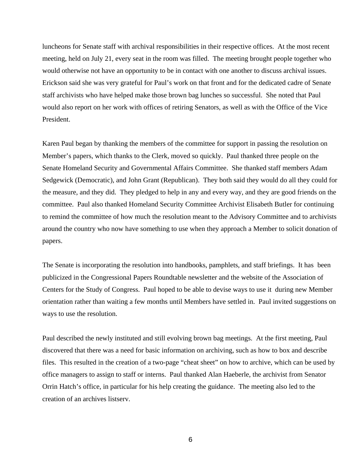luncheons for Senate staff with archival responsibilities in their respective offices. At the most recent meeting, held on July 21, every seat in the room was filled. The meeting brought people together who would otherwise not have an opportunity to be in contact with one another to discuss archival issues. Erickson said she was very grateful for Paul's work on that front and for the dedicated cadre of Senate staff archivists who have helped make those brown bag lunches so successful. She noted that Paul would also report on her work with offices of retiring Senators, as well as with the Office of the Vice President.

Karen Paul began by thanking the members of the committee for support in passing the resolution on Member's papers, which thanks to the Clerk, moved so quickly. Paul thanked three people on the Senate Homeland Security and Governmental Affairs Committee. She thanked staff members Adam Sedgewick (Democratic), and John Grant (Republican). They both said they would do all they could for the measure, and they did. They pledged to help in any and every way, and they are good friends on the committee. Paul also thanked Homeland Security Committee Archivist Elisabeth Butler for continuing to remind the committee of how much the resolution meant to the Advisory Committee and to archivists around the country who now have something to use when they approach a Member to solicit donation of papers.

The Senate is incorporating the resolution into handbooks, pamphlets, and staff briefings. It has been publicized in the Congressional Papers Roundtable newsletter and the website of the Association of Centers for the Study of Congress. Paul hoped to be able to devise ways to use it during new Member orientation rather than waiting a few months until Members have settled in. Paul invited suggestions on ways to use the resolution.

Paul described the newly instituted and still evolving brown bag meetings. At the first meeting, Paul discovered that there was a need for basic information on archiving, such as how to box and describe files. This resulted in the creation of a two-page "cheat sheet" on how to archive, which can be used by office managers to assign to staff or interns. Paul thanked Alan Haeberle, the archivist from Senator Orrin Hatch's office, in particular for his help creating the guidance. The meeting also led to the creation of an archives listserv.

6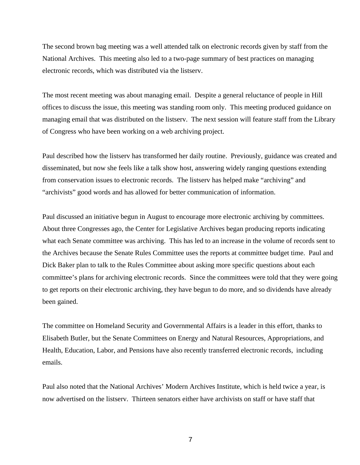The second brown bag meeting was a well attended talk on electronic records given by staff from the National Archives. This meeting also led to a two-page summary of best practices on managing electronic records, which was distributed via the listserv.

The most recent meeting was about managing email. Despite a general reluctance of people in Hill offices to discuss the issue, this meeting was standing room only. This meeting produced guidance on managing email that was distributed on the listserv. The next session will feature staff from the Library of Congress who have been working on a web archiving project.

Paul described how the listserv has transformed her daily routine. Previously, guidance was created and disseminated, but now she feels like a talk show host, answering widely ranging questions extending from conservation issues to electronic records. The listserv has helped make "archiving" and "archivists" good words and has allowed for better communication of information.

Paul discussed an initiative begun in August to encourage more electronic archiving by committees. About three Congresses ago, the Center for Legislative Archives began producing reports indicating what each Senate committee was archiving. This has led to an increase in the volume of records sent to the Archives because the Senate Rules Committee uses the reports at committee budget time. Paul and Dick Baker plan to talk to the Rules Committee about asking more specific questions about each committee's plans for archiving electronic records. Since the committees were told that they were going to get reports on their electronic archiving, they have begun to do more, and so dividends have already been gained.

The committee on Homeland Security and Governmental Affairs is a leader in this effort, thanks to Elisabeth Butler, but the Senate Committees on Energy and Natural Resources, Appropriations, and Health, Education, Labor, and Pensions have also recently transferred electronic records, including emails.

Paul also noted that the National Archives' Modern Archives Institute, which is held twice a year, is now advertised on the listserv. Thirteen senators either have archivists on staff or have staff that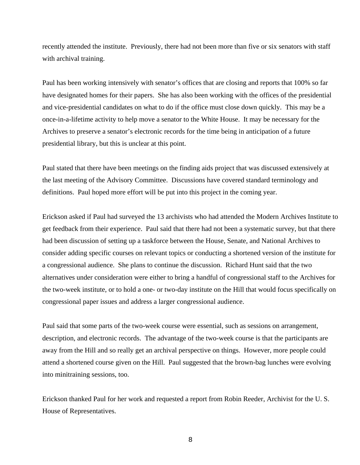recently attended the institute. Previously, there had not been more than five or six senators with staff with archival training.

Paul has been working intensively with senator's offices that are closing and reports that 100% so far have designated homes for their papers. She has also been working with the offices of the presidential and vice-presidential candidates on what to do if the office must close down quickly. This may be a once-in-a-lifetime activity to help move a senator to the White House. It may be necessary for the Archives to preserve a senator's electronic records for the time being in anticipation of a future presidential library, but this is unclear at this point.

Paul stated that there have been meetings on the finding aids project that was discussed extensively at the last meeting of the Advisory Committee. Discussions have covered standard terminology and definitions. Paul hoped more effort will be put into this project in the coming year.

Erickson asked if Paul had surveyed the 13 archivists who had attended the Modern Archives Institute to get feedback from their experience. Paul said that there had not been a systematic survey, but that there had been discussion of setting up a taskforce between the House, Senate, and National Archives to consider adding specific courses on relevant topics or conducting a shortened version of the institute for a congressional audience. She plans to continue the discussion. Richard Hunt said that the two alternatives under consideration were either to bring a handful of congressional staff to the Archives for the two-week institute, or to hold a one- or two-day institute on the Hill that would focus specifically on congressional paper issues and address a larger congressional audience.

Paul said that some parts of the two-week course were essential, such as sessions on arrangement, description, and electronic records. The advantage of the two-week course is that the participants are away from the Hill and so really get an archival perspective on things. However, more people could attend a shortened course given on the Hill. Paul suggested that the brown-bag lunches were evolving into minitraining sessions, too.

Erickson thanked Paul for her work and requested a report from Robin Reeder, Archivist for the U. S. House of Representatives.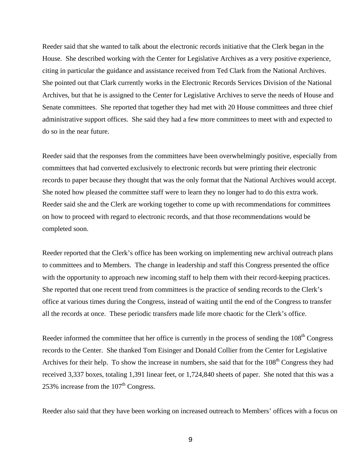Reeder said that she wanted to talk about the electronic records initiative that the Clerk began in the House. She described working with the Center for Legislative Archives as a very positive experience, citing in particular the guidance and assistance received from Ted Clark from the National Archives. She pointed out that Clark currently works in the Electronic Records Services Division of the National Archives, but that he is assigned to the Center for Legislative Archives to serve the needs of House and Senate committees. She reported that together they had met with 20 House committees and three chief administrative support offices. She said they had a few more committees to meet with and expected to do so in the near future.

Reeder said that the responses from the committees have been overwhelmingly positive, especially from committees that had converted exclusively to electronic records but were printing their electronic records to paper because they thought that was the only format that the National Archives would accept. She noted how pleased the committee staff were to learn they no longer had to do this extra work. Reeder said she and the Clerk are working together to come up with recommendations for committees on how to proceed with regard to electronic records, and that those recommendations would be completed soon.

Reeder reported that the Clerk's office has been working on implementing new archival outreach plans to committees and to Members. The change in leadership and staff this Congress presented the office with the opportunity to approach new incoming staff to help them with their record-keeping practices. She reported that one recent trend from committees is the practice of sending records to the Clerk's office at various times during the Congress, instead of waiting until the end of the Congress to transfer all the records at once. These periodic transfers made life more chaotic for the Clerk's office.

Reeder informed the committee that her office is currently in the process of sending the 108<sup>th</sup> Congress records to the Center. She thanked Tom Eisinger and Donald Collier from the Center for Legislative Archives for their help. To show the increase in numbers, she said that for the  $108<sup>th</sup>$  Congress they had received 3,337 boxes, totaling 1,391 linear feet, or 1,724,840 sheets of paper. She noted that this was a 253% increase from the  $107<sup>th</sup>$  Congress.

Reeder also said that they have been working on increased outreach to Members' offices with a focus on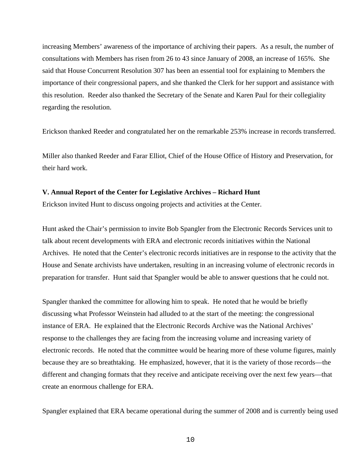increasing Members' awareness of the importance of archiving their papers. As a result, the number of consultations with Members has risen from 26 to 43 since January of 2008, an increase of 165%. She said that House Concurrent Resolution 307 has been an essential tool for explaining to Members the importance of their congressional papers, and she thanked the Clerk for her support and assistance with this resolution. Reeder also thanked the Secretary of the Senate and Karen Paul for their collegiality regarding the resolution.

Erickson thanked Reeder and congratulated her on the remarkable 253% increase in records transferred.

Miller also thanked Reeder and Farar Elliot, Chief of the House Office of History and Preservation, for their hard work.

#### **V. Annual Report of the Center for Legislative Archives – Richard Hunt**

Erickson invited Hunt to discuss ongoing projects and activities at the Center.

Hunt asked the Chair's permission to invite Bob Spangler from the Electronic Records Services unit to talk about recent developments with ERA and electronic records initiatives within the National Archives. He noted that the Center's electronic records initiatives are in response to the activity that the House and Senate archivists have undertaken, resulting in an increasing volume of electronic records in preparation for transfer. Hunt said that Spangler would be able to answer questions that he could not.

Spangler thanked the committee for allowing him to speak. He noted that he would be briefly discussing what Professor Weinstein had alluded to at the start of the meeting: the congressional instance of ERA. He explained that the Electronic Records Archive was the National Archives' response to the challenges they are facing from the increasing volume and increasing variety of electronic records. He noted that the committee would be hearing more of these volume figures, mainly because they are so breathtaking. He emphasized, however, that it is the variety of those records—the different and changing formats that they receive and anticipate receiving over the next few years—that create an enormous challenge for ERA.

Spangler explained that ERA became operational during the summer of 2008 and is currently being used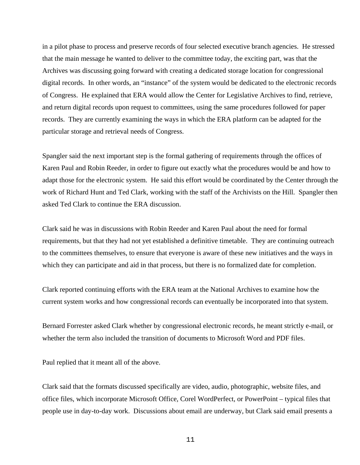in a pilot phase to process and preserve records of four selected executive branch agencies. He stressed that the main message he wanted to deliver to the committee today, the exciting part, was that the Archives was discussing going forward with creating a dedicated storage location for congressional digital records. In other words, an "instance" of the system would be dedicated to the electronic records of Congress. He explained that ERA would allow the Center for Legislative Archives to find, retrieve, and return digital records upon request to committees, using the same procedures followed for paper records. They are currently examining the ways in which the ERA platform can be adapted for the particular storage and retrieval needs of Congress.

Spangler said the next important step is the formal gathering of requirements through the offices of Karen Paul and Robin Reeder, in order to figure out exactly what the procedures would be and how to adapt those for the electronic system. He said this effort would be coordinated by the Center through the work of Richard Hunt and Ted Clark, working with the staff of the Archivists on the Hill. Spangler then asked Ted Clark to continue the ERA discussion.

Clark said he was in discussions with Robin Reeder and Karen Paul about the need for formal requirements, but that they had not yet established a definitive timetable. They are continuing outreach to the committees themselves, to ensure that everyone is aware of these new initiatives and the ways in which they can participate and aid in that process, but there is no formalized date for completion.

Clark reported continuing efforts with the ERA team at the National Archives to examine how the current system works and how congressional records can eventually be incorporated into that system.

Bernard Forrester asked Clark whether by congressional electronic records, he meant strictly e-mail, or whether the term also included the transition of documents to Microsoft Word and PDF files.

Paul replied that it meant all of the above.

Clark said that the formats discussed specifically are video, audio, photographic, website files, and office files, which incorporate Microsoft Office, Corel WordPerfect, or PowerPoint – typical files that people use in day-to-day work. Discussions about email are underway, but Clark said email presents a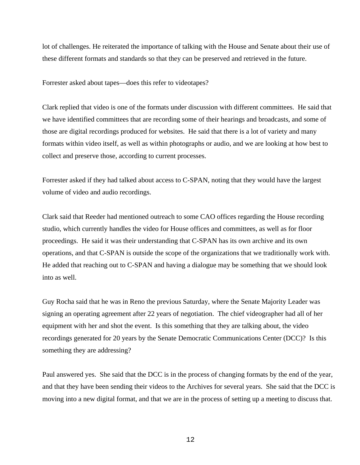lot of challenges. He reiterated the importance of talking with the House and Senate about their use of these different formats and standards so that they can be preserved and retrieved in the future.

Forrester asked about tapes—does this refer to videotapes?

Clark replied that video is one of the formats under discussion with different committees. He said that we have identified committees that are recording some of their hearings and broadcasts, and some of those are digital recordings produced for websites. He said that there is a lot of variety and many formats within video itself, as well as within photographs or audio, and we are looking at how best to collect and preserve those, according to current processes.

Forrester asked if they had talked about access to C-SPAN, noting that they would have the largest volume of video and audio recordings.

Clark said that Reeder had mentioned outreach to some CAO offices regarding the House recording studio, which currently handles the video for House offices and committees, as well as for floor proceedings. He said it was their understanding that C-SPAN has its own archive and its own operations, and that C-SPAN is outside the scope of the organizations that we traditionally work with. He added that reaching out to C-SPAN and having a dialogue may be something that we should look into as well.

Guy Rocha said that he was in Reno the previous Saturday, where the Senate Majority Leader was signing an operating agreement after 22 years of negotiation. The chief videographer had all of her equipment with her and shot the event. Is this something that they are talking about, the video recordings generated for 20 years by the Senate Democratic Communications Center (DCC)? Is this something they are addressing?

Paul answered yes. She said that the DCC is in the process of changing formats by the end of the year, and that they have been sending their videos to the Archives for several years. She said that the DCC is moving into a new digital format, and that we are in the process of setting up a meeting to discuss that.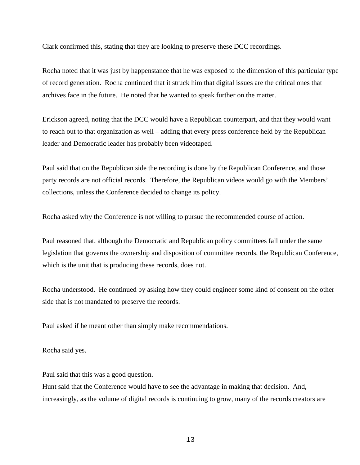Clark confirmed this, stating that they are looking to preserve these DCC recordings.

Rocha noted that it was just by happenstance that he was exposed to the dimension of this particular type of record generation. Rocha continued that it struck him that digital issues are the critical ones that archives face in the future. He noted that he wanted to speak further on the matter.

Erickson agreed, noting that the DCC would have a Republican counterpart, and that they would want to reach out to that organization as well – adding that every press conference held by the Republican leader and Democratic leader has probably been videotaped.

Paul said that on the Republican side the recording is done by the Republican Conference, and those party records are not official records. Therefore, the Republican videos would go with the Members' collections, unless the Conference decided to change its policy.

Rocha asked why the Conference is not willing to pursue the recommended course of action.

Paul reasoned that, although the Democratic and Republican policy committees fall under the same legislation that governs the ownership and disposition of committee records, the Republican Conference, which is the unit that is producing these records, does not.

Rocha understood. He continued by asking how they could engineer some kind of consent on the other side that is not mandated to preserve the records.

Paul asked if he meant other than simply make recommendations.

Rocha said yes.

Paul said that this was a good question.

Hunt said that the Conference would have to see the advantage in making that decision. And, increasingly, as the volume of digital records is continuing to grow, many of the records creators are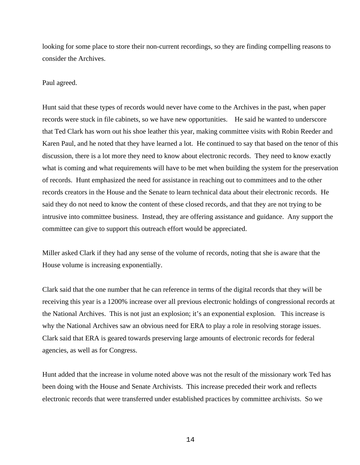looking for some place to store their non-current recordings, so they are finding compelling reasons to consider the Archives.

Paul agreed.

Hunt said that these types of records would never have come to the Archives in the past, when paper records were stuck in file cabinets, so we have new opportunities. He said he wanted to underscore that Ted Clark has worn out his shoe leather this year, making committee visits with Robin Reeder and Karen Paul, and he noted that they have learned a lot. He continued to say that based on the tenor of this discussion, there is a lot more they need to know about electronic records. They need to know exactly what is coming and what requirements will have to be met when building the system for the preservation of records. Hunt emphasized the need for assistance in reaching out to committees and to the other records creators in the House and the Senate to learn technical data about their electronic records. He said they do not need to know the content of these closed records, and that they are not trying to be intrusive into committee business. Instead, they are offering assistance and guidance. Any support the committee can give to support this outreach effort would be appreciated.

Miller asked Clark if they had any sense of the volume of records, noting that she is aware that the House volume is increasing exponentially.

Clark said that the one number that he can reference in terms of the digital records that they will be receiving this year is a 1200% increase over all previous electronic holdings of congressional records at the National Archives. This is not just an explosion; it's an exponential explosion. This increase is why the National Archives saw an obvious need for ERA to play a role in resolving storage issues. Clark said that ERA is geared towards preserving large amounts of electronic records for federal agencies, as well as for Congress.

Hunt added that the increase in volume noted above was not the result of the missionary work Ted has been doing with the House and Senate Archivists. This increase preceded their work and reflects electronic records that were transferred under established practices by committee archivists. So we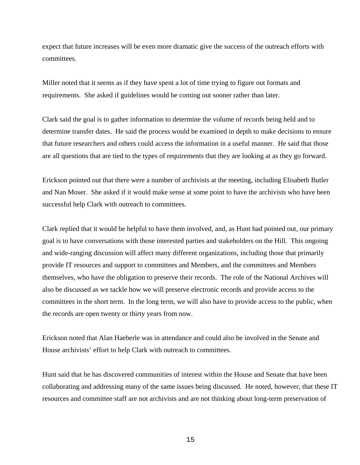expect that future increases will be even more dramatic give the success of the outreach efforts with committees.

Miller noted that it seems as if they have spent a lot of time trying to figure out formats and requirements. She asked if guidelines would be coming out sooner rather than later.

Clark said the goal is to gather information to determine the volume of records being held and to determine transfer dates. He said the process would be examined in depth to make decisions to ensure that future researchers and others could access the information in a useful manner. He said that those are all questions that are tied to the types of requirements that they are looking at as they go forward.

Erickson pointed out that there were a number of archivists at the meeting, including Elisabeth Butler and Nan Moser. She asked if it would make sense at some point to have the archivists who have been successful help Clark with outreach to committees.

Clark replied that it would be helpful to have them involved, and, as Hunt had pointed out, our primary goal is to have conversations with those interested parties and stakeholders on the Hill. This ongoing and wide-ranging discussion will affect many different organizations, including those that primarily provide IT resources and support to committees and Members, and the committees and Members themselves, who have the obligation to preserve their records. The role of the National Archives will also be discussed as we tackle how we will preserve electronic records and provide access to the committees in the short term. In the long term, we will also have to provide access to the public, when the records are open twenty or thirty years from now.

Erickson noted that Alan Haeberle was in attendance and could also be involved in the Senate and House archivists' effort to help Clark with outreach to committees.

Hunt said that he has discovered communities of interest within the House and Senate that have been collaborating and addressing many of the same issues being discussed. He noted, however, that these IT resources and committee staff are not archivists and are not thinking about long-term preservation of

15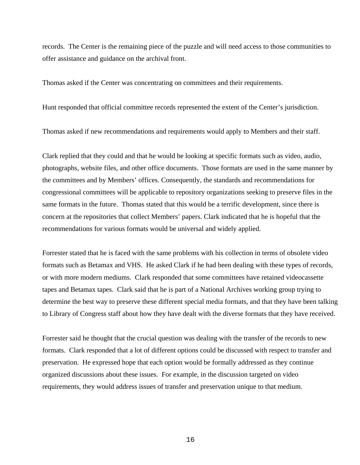records. The Center is the remaining piece of the puzzle and will need access to those communities to offer assistance and guidance on the archival front.

Thomas asked if the Center was concentrating on committees and their requirements.

Hunt responded that official committee records represented the extent of the Center's jurisdiction.

Thomas asked if new recommendations and requirements would apply to Members and their staff.

Clark replied that they could and that he would be looking at specific formats such as video, audio, photographs, website files, and other office documents. Those formats are used in the same manner by the committees and by Members' offices. Consequently, the standards and recommendations for congressional committees will be applicable to repository organizations seeking to preserve files in the same formats in the future. Thomas stated that this would be a terrific development, since there is concern at the repositories that collect Members' papers. Clark indicated that he is hopeful that the recommendations for various formats would be universal and widely applied.

Forrester stated that he is faced with the same problems with his collection in terms of obsolete video formats such as Betamax and VHS. He asked Clark if he had been dealing with these types of records, or with more modern mediums. Clark responded that some committees have retained videocassette tapes and Betamax tapes. Clark said that he is part of a National Archives working group trying to determine the best way to preserve these different special media formats, and that they have been talking to Library of Congress staff about how they have dealt with the diverse formats that they have received.

Forrester said he thought that the crucial question was dealing with the transfer of the records to new formats. Clark responded that a lot of different options could be discussed with respect to transfer and preservation. He expressed hope that each option would be formally addressed as they continue organized discussions about these issues. For example, in the discussion targeted on video requirements, they would address issues of transfer and preservation unique to that medium.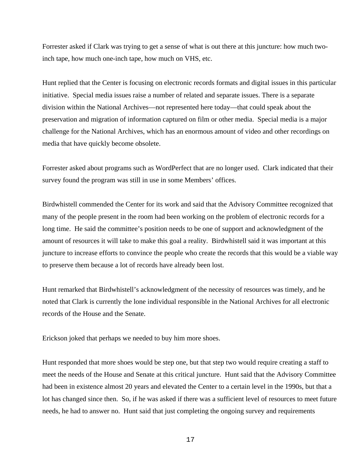Forrester asked if Clark was trying to get a sense of what is out there at this juncture: how much twoinch tape, how much one-inch tape, how much on VHS, etc.

Hunt replied that the Center is focusing on electronic records formats and digital issues in this particular initiative. Special media issues raise a number of related and separate issues. There is a separate division within the National Archives—not represented here today—that could speak about the preservation and migration of information captured on film or other media. Special media is a major challenge for the National Archives, which has an enormous amount of video and other recordings on media that have quickly become obsolete.

Forrester asked about programs such as WordPerfect that are no longer used. Clark indicated that their survey found the program was still in use in some Members' offices.

Birdwhistell commended the Center for its work and said that the Advisory Committee recognized that many of the people present in the room had been working on the problem of electronic records for a long time. He said the committee's position needs to be one of support and acknowledgment of the amount of resources it will take to make this goal a reality. Birdwhistell said it was important at this juncture to increase efforts to convince the people who create the records that this would be a viable way to preserve them because a lot of records have already been lost.

Hunt remarked that Birdwhistell's acknowledgment of the necessity of resources was timely, and he noted that Clark is currently the lone individual responsible in the National Archives for all electronic records of the House and the Senate.

Erickson joked that perhaps we needed to buy him more shoes.

Hunt responded that more shoes would be step one, but that step two would require creating a staff to meet the needs of the House and Senate at this critical juncture. Hunt said that the Advisory Committee had been in existence almost 20 years and elevated the Center to a certain level in the 1990s, but that a lot has changed since then. So, if he was asked if there was a sufficient level of resources to meet future needs, he had to answer no. Hunt said that just completing the ongoing survey and requirements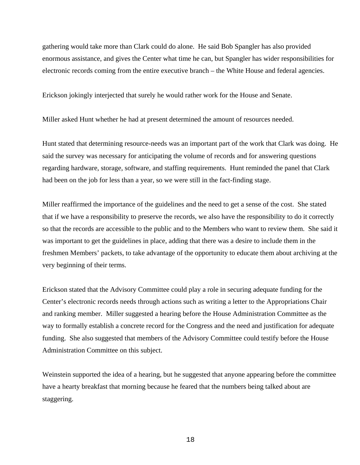gathering would take more than Clark could do alone. He said Bob Spangler has also provided enormous assistance, and gives the Center what time he can, but Spangler has wider responsibilities for electronic records coming from the entire executive branch – the White House and federal agencies.

Erickson jokingly interjected that surely he would rather work for the House and Senate.

Miller asked Hunt whether he had at present determined the amount of resources needed.

Hunt stated that determining resource-needs was an important part of the work that Clark was doing. He said the survey was necessary for anticipating the volume of records and for answering questions regarding hardware, storage, software, and staffing requirements. Hunt reminded the panel that Clark had been on the job for less than a year, so we were still in the fact-finding stage.

Miller reaffirmed the importance of the guidelines and the need to get a sense of the cost. She stated that if we have a responsibility to preserve the records, we also have the responsibility to do it correctly so that the records are accessible to the public and to the Members who want to review them. She said it was important to get the guidelines in place, adding that there was a desire to include them in the freshmen Members' packets, to take advantage of the opportunity to educate them about archiving at the very beginning of their terms.

Erickson stated that the Advisory Committee could play a role in securing adequate funding for the Center's electronic records needs through actions such as writing a letter to the Appropriations Chair and ranking member. Miller suggested a hearing before the House Administration Committee as the way to formally establish a concrete record for the Congress and the need and justification for adequate funding. She also suggested that members of the Advisory Committee could testify before the House Administration Committee on this subject.

Weinstein supported the idea of a hearing, but he suggested that anyone appearing before the committee have a hearty breakfast that morning because he feared that the numbers being talked about are staggering.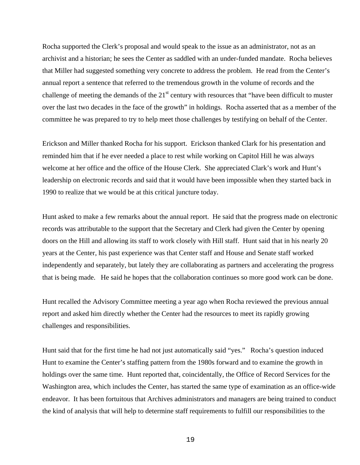Rocha supported the Clerk's proposal and would speak to the issue as an administrator, not as an archivist and a historian; he sees the Center as saddled with an under-funded mandate. Rocha believes that Miller had suggested something very concrete to address the problem. He read from the Center's annual report a sentence that referred to the tremendous growth in the volume of records and the challenge of meeting the demands of the  $21<sup>st</sup>$  century with resources that "have been difficult to muster over the last two decades in the face of the growth" in holdings. Rocha asserted that as a member of the committee he was prepared to try to help meet those challenges by testifying on behalf of the Center.

Erickson and Miller thanked Rocha for his support. Erickson thanked Clark for his presentation and reminded him that if he ever needed a place to rest while working on Capitol Hill he was always welcome at her office and the office of the House Clerk. She appreciated Clark's work and Hunt's leadership on electronic records and said that it would have been impossible when they started back in 1990 to realize that we would be at this critical juncture today.

Hunt asked to make a few remarks about the annual report. He said that the progress made on electronic records was attributable to the support that the Secretary and Clerk had given the Center by opening doors on the Hill and allowing its staff to work closely with Hill staff. Hunt said that in his nearly 20 years at the Center, his past experience was that Center staff and House and Senate staff worked independently and separately, but lately they are collaborating as partners and accelerating the progress that is being made. He said he hopes that the collaboration continues so more good work can be done.

Hunt recalled the Advisory Committee meeting a year ago when Rocha reviewed the previous annual report and asked him directly whether the Center had the resources to meet its rapidly growing challenges and responsibilities.

Hunt said that for the first time he had not just automatically said "yes." Rocha's question induced Hunt to examine the Center's staffing pattern from the 1980s forward and to examine the growth in holdings over the same time. Hunt reported that, coincidentally, the Office of Record Services for the Washington area, which includes the Center, has started the same type of examination as an office-wide endeavor. It has been fortuitous that Archives administrators and managers are being trained to conduct the kind of analysis that will help to determine staff requirements to fulfill our responsibilities to the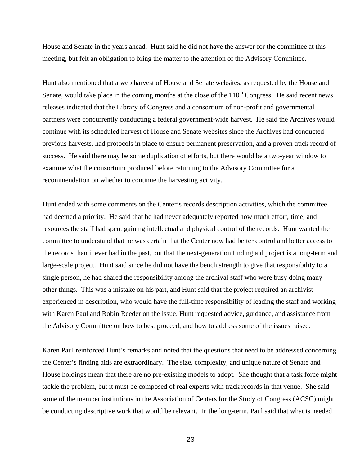House and Senate in the years ahead. Hunt said he did not have the answer for the committee at this meeting, but felt an obligation to bring the matter to the attention of the Advisory Committee.

Hunt also mentioned that a web harvest of House and Senate websites, as requested by the House and Senate, would take place in the coming months at the close of the  $110<sup>th</sup>$  Congress. He said recent news releases indicated that the Library of Congress and a consortium of non-profit and governmental partners were concurrently conducting a federal government-wide harvest. He said the Archives would continue with its scheduled harvest of House and Senate websites since the Archives had conducted previous harvests, had protocols in place to ensure permanent preservation, and a proven track record of success. He said there may be some duplication of efforts, but there would be a two-year window to examine what the consortium produced before returning to the Advisory Committee for a recommendation on whether to continue the harvesting activity.

Hunt ended with some comments on the Center's records description activities, which the committee had deemed a priority. He said that he had never adequately reported how much effort, time, and resources the staff had spent gaining intellectual and physical control of the records. Hunt wanted the committee to understand that he was certain that the Center now had better control and better access to the records than it ever had in the past, but that the next-generation finding aid project is a long-term and large-scale project. Hunt said since he did not have the bench strength to give that responsibility to a single person, he had shared the responsibility among the archival staff who were busy doing many other things. This was a mistake on his part, and Hunt said that the project required an archivist experienced in description, who would have the full-time responsibility of leading the staff and working with Karen Paul and Robin Reeder on the issue. Hunt requested advice, guidance, and assistance from the Advisory Committee on how to best proceed, and how to address some of the issues raised.

Karen Paul reinforced Hunt's remarks and noted that the questions that need to be addressed concerning the Center's finding aids are extraordinary. The size, complexity, and unique nature of Senate and House holdings mean that there are no pre-existing models to adopt. She thought that a task force might tackle the problem, but it must be composed of real experts with track records in that venue. She said some of the member institutions in the Association of Centers for the Study of Congress (ACSC) might be conducting descriptive work that would be relevant. In the long-term, Paul said that what is needed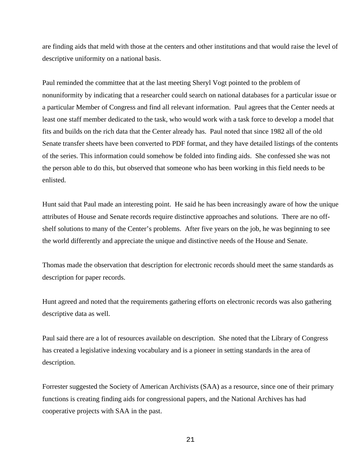are finding aids that meld with those at the centers and other institutions and that would raise the level of descriptive uniformity on a national basis.

Paul reminded the committee that at the last meeting Sheryl Vogt pointed to the problem of nonuniformity by indicating that a researcher could search on national databases for a particular issue or a particular Member of Congress and find all relevant information. Paul agrees that the Center needs at least one staff member dedicated to the task, who would work with a task force to develop a model that fits and builds on the rich data that the Center already has. Paul noted that since 1982 all of the old Senate transfer sheets have been converted to PDF format, and they have detailed listings of the contents of the series. This information could somehow be folded into finding aids. She confessed she was not the person able to do this, but observed that someone who has been working in this field needs to be enlisted.

Hunt said that Paul made an interesting point. He said he has been increasingly aware of how the unique attributes of House and Senate records require distinctive approaches and solutions. There are no offshelf solutions to many of the Center's problems. After five years on the job, he was beginning to see the world differently and appreciate the unique and distinctive needs of the House and Senate.

Thomas made the observation that description for electronic records should meet the same standards as description for paper records.

Hunt agreed and noted that the requirements gathering efforts on electronic records was also gathering descriptive data as well.

Paul said there are a lot of resources available on description. She noted that the Library of Congress has created a legislative indexing vocabulary and is a pioneer in setting standards in the area of description.

Forrester suggested the Society of American Archivists (SAA) as a resource, since one of their primary functions is creating finding aids for congressional papers, and the National Archives has had cooperative projects with SAA in the past.

21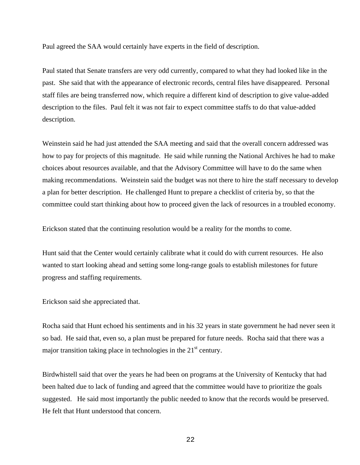Paul agreed the SAA would certainly have experts in the field of description.

Paul stated that Senate transfers are very odd currently, compared to what they had looked like in the past. She said that with the appearance of electronic records, central files have disappeared. Personal staff files are being transferred now, which require a different kind of description to give value-added description to the files. Paul felt it was not fair to expect committee staffs to do that value-added description.

Weinstein said he had just attended the SAA meeting and said that the overall concern addressed was how to pay for projects of this magnitude. He said while running the National Archives he had to make choices about resources available, and that the Advisory Committee will have to do the same when making recommendations. Weinstein said the budget was not there to hire the staff necessary to develop a plan for better description. He challenged Hunt to prepare a checklist of criteria by, so that the committee could start thinking about how to proceed given the lack of resources in a troubled economy.

Erickson stated that the continuing resolution would be a reality for the months to come.

Hunt said that the Center would certainly calibrate what it could do with current resources. He also wanted to start looking ahead and setting some long-range goals to establish milestones for future progress and staffing requirements.

Erickson said she appreciated that.

Rocha said that Hunt echoed his sentiments and in his 32 years in state government he had never seen it so bad. He said that, even so, a plan must be prepared for future needs. Rocha said that there was a major transition taking place in technologies in the  $21<sup>st</sup>$  century.

Birdwhistell said that over the years he had been on programs at the University of Kentucky that had been halted due to lack of funding and agreed that the committee would have to prioritize the goals suggested. He said most importantly the public needed to know that the records would be preserved. He felt that Hunt understood that concern.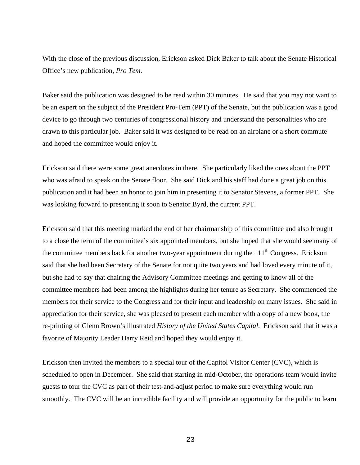With the close of the previous discussion, Erickson asked Dick Baker to talk about the Senate Historical Office's new publication, *Pro Tem*.

Baker said the publication was designed to be read within 30 minutes. He said that you may not want to be an expert on the subject of the President Pro-Tem (PPT) of the Senate, but the publication was a good device to go through two centuries of congressional history and understand the personalities who are drawn to this particular job. Baker said it was designed to be read on an airplane or a short commute and hoped the committee would enjoy it.

Erickson said there were some great anecdotes in there. She particularly liked the ones about the PPT who was afraid to speak on the Senate floor. She said Dick and his staff had done a great job on this publication and it had been an honor to join him in presenting it to Senator Stevens, a former PPT. She was looking forward to presenting it soon to Senator Byrd, the current PPT.

Erickson said that this meeting marked the end of her chairmanship of this committee and also brought to a close the term of the committee's six appointed members, but she hoped that she would see many of the committee members back for another two-year appointment during the  $111<sup>th</sup>$  Congress. Erickson said that she had been Secretary of the Senate for not quite two years and had loved every minute of it, but she had to say that chairing the Advisory Committee meetings and getting to know all of the committee members had been among the highlights during her tenure as Secretary. She commended the members for their service to the Congress and for their input and leadership on many issues. She said in appreciation for their service, she was pleased to present each member with a copy of a new book, the re-printing of Glenn Brown's illustrated *History of the United States Capital*. Erickson said that it was a favorite of Majority Leader Harry Reid and hoped they would enjoy it.

Erickson then invited the members to a special tour of the Capitol Visitor Center (CVC), which is scheduled to open in December. She said that starting in mid-October, the operations team would invite guests to tour the CVC as part of their test-and-adjust period to make sure everything would run smoothly. The CVC will be an incredible facility and will provide an opportunity for the public to learn